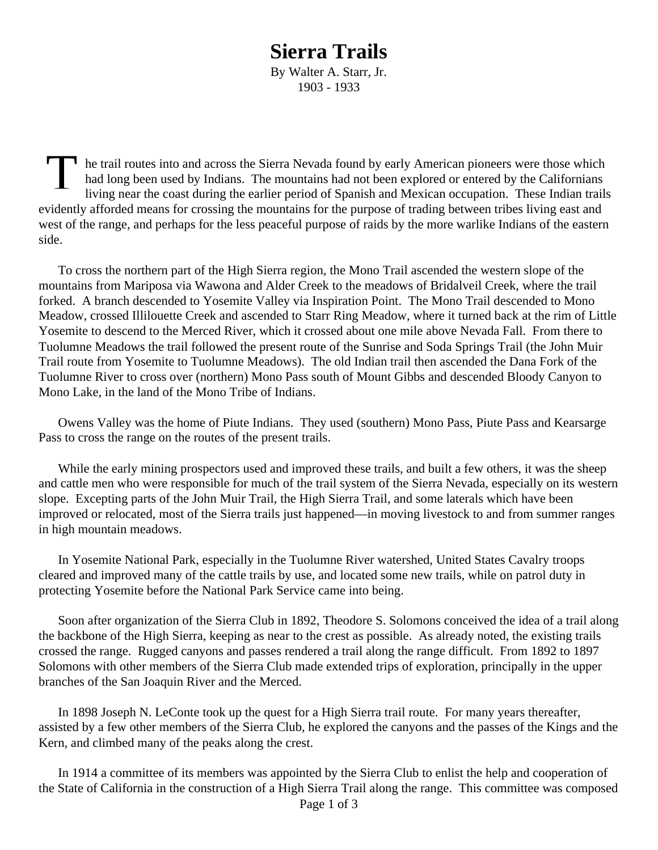## **Sierra Trails**

By Walter A. Starr, Jr. 1903 - 1933

The trail routes into and across the Sierra Nevada found by early American pioneers were those which<br>had long been used by Indians. The mountains had not been explored or entered by the Californians<br>living near the coast d had long been used by Indians. The mountains had not been explored or entered by the Californians living near the coast during the earlier period of Spanish and Mexican occupation. These Indian trails evidently afforded means for crossing the mountains for the purpose of trading between tribes living east and west of the range, and perhaps for the less peaceful purpose of raids by the more warlike Indians of the eastern side.

To cross the northern part of the High Sierra region, the Mono Trail ascended the western slope of the mountains from Mariposa via Wawona and Alder Creek to the meadows of Bridalveil Creek, where the trail forked. A branch descended to Yosemite Valley via Inspiration Point. The Mono Trail descended to Mono Meadow, crossed Illilouette Creek and ascended to Starr Ring Meadow, where it turned back at the rim of Little Yosemite to descend to the Merced River, which it crossed about one mile above Nevada Fall. From there to Tuolumne Meadows the trail followed the present route of the Sunrise and Soda Springs Trail (the John Muir Trail route from Yosemite to Tuolumne Meadows). The old Indian trail then ascended the Dana Fork of the Tuolumne River to cross over (northern) Mono Pass south of Mount Gibbs and descended Bloody Canyon to Mono Lake, in the land of the Mono Tribe of Indians.

Owens Valley was the home of Piute Indians. They used (southern) Mono Pass, Piute Pass and Kearsarge Pass to cross the range on the routes of the present trails.

While the early mining prospectors used and improved these trails, and built a few others, it was the sheep and cattle men who were responsible for much of the trail system of the Sierra Nevada, especially on its western slope. Excepting parts of the John Muir Trail, the High Sierra Trail, and some laterals which have been improved or relocated, most of the Sierra trails just happened—in moving livestock to and from summer ranges in high mountain meadows.

In Yosemite National Park, especially in the Tuolumne River watershed, United States Cavalry troops cleared and improved many of the cattle trails by use, and located some new trails, while on patrol duty in protecting Yosemite before the National Park Service came into being.

Soon after organization of the Sierra Club in 1892, Theodore S. Solomons conceived the idea of a trail along the backbone of the High Sierra, keeping as near to the crest as possible. As already noted, the existing trails crossed the range. Rugged canyons and passes rendered a trail along the range difficult. From 1892 to 1897 Solomons with other members of the Sierra Club made extended trips of exploration, principally in the upper branches of the San Joaquin River and the Merced.

In 1898 Joseph N. LeConte took up the quest for a High Sierra trail route. For many years thereafter, assisted by a few other members of the Sierra Club, he explored the canyons and the passes of the Kings and the Kern, and climbed many of the peaks along the crest.

In 1914 a committee of its members was appointed by the Sierra Club to enlist the help and cooperation of the State of California in the construction of a High Sierra Trail along the range. This committee was composed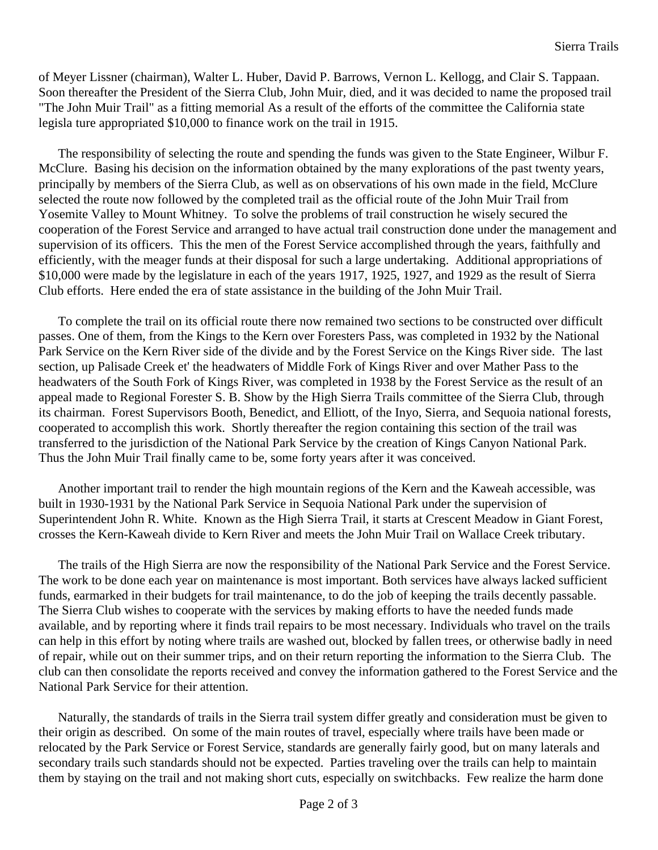of Meyer Lissner (chairman), Walter L. Huber, David P. Barrows, Vernon L. Kellogg, and Clair S. Tappaan. Soon thereafter the President of the Sierra Club, John Muir, died, and it was decided to name the proposed trail "The John Muir Trail" as a fitting memorial As a result of the efforts of the committee the California state legisla ture appropriated \$10,000 to finance work on the trail in 1915.

The responsibility of selecting the route and spending the funds was given to the State Engineer, Wilbur F. McClure. Basing his decision on the information obtained by the many explorations of the past twenty years, principally by members of the Sierra Club, as well as on observations of his own made in the field, McClure selected the route now followed by the completed trail as the official route of the John Muir Trail from Yosemite Valley to Mount Whitney. To solve the problems of trail construction he wisely secured the cooperation of the Forest Service and arranged to have actual trail construction done under the management and supervision of its officers. This the men of the Forest Service accomplished through the years, faithfully and efficiently, with the meager funds at their disposal for such a large undertaking. Additional appropriations of \$10,000 were made by the legislature in each of the years 1917, 1925, 1927, and 1929 as the result of Sierra Club efforts. Here ended the era of state assistance in the building of the John Muir Trail.

To complete the trail on its official route there now remained two sections to be constructed over difficult passes. One of them, from the Kings to the Kern over Foresters Pass, was completed in 1932 by the National Park Service on the Kern River side of the divide and by the Forest Service on the Kings River side. The last section, up Palisade Creek et' the headwaters of Middle Fork of Kings River and over Mather Pass to the headwaters of the South Fork of Kings River, was completed in 1938 by the Forest Service as the result of an appeal made to Regional Forester S. B. Show by the High Sierra Trails committee of the Sierra Club, through its chairman. Forest Supervisors Booth, Benedict, and Elliott, of the Inyo, Sierra, and Sequoia national forests, cooperated to accomplish this work. Shortly thereafter the region containing this section of the trail was transferred to the jurisdiction of the National Park Service by the creation of Kings Canyon National Park. Thus the John Muir Trail finally came to be, some forty years after it was conceived.

Another important trail to render the high mountain regions of the Kern and the Kaweah accessible, was built in 1930-1931 by the National Park Service in Sequoia National Park under the supervision of Superintendent John R. White. Known as the High Sierra Trail, it starts at Crescent Meadow in Giant Forest, crosses the Kern-Kaweah divide to Kern River and meets the John Muir Trail on Wallace Creek tributary.

The trails of the High Sierra are now the responsibility of the National Park Service and the Forest Service. The work to be done each year on maintenance is most important. Both services have always lacked sufficient funds, earmarked in their budgets for trail maintenance, to do the job of keeping the trails decently passable. The Sierra Club wishes to cooperate with the services by making efforts to have the needed funds made available, and by reporting where it finds trail repairs to be most necessary. Individuals who travel on the trails can help in this effort by noting where trails are washed out, blocked by fallen trees, or otherwise badly in need of repair, while out on their summer trips, and on their return reporting the information to the Sierra Club. The club can then consolidate the reports received and convey the information gathered to the Forest Service and the National Park Service for their attention.

Naturally, the standards of trails in the Sierra trail system differ greatly and consideration must be given to their origin as described. On some of the main routes of travel, especially where trails have been made or relocated by the Park Service or Forest Service, standards are generally fairly good, but on many laterals and secondary trails such standards should not be expected. Parties traveling over the trails can help to maintain them by staying on the trail and not making short cuts, especially on switchbacks. Few realize the harm done